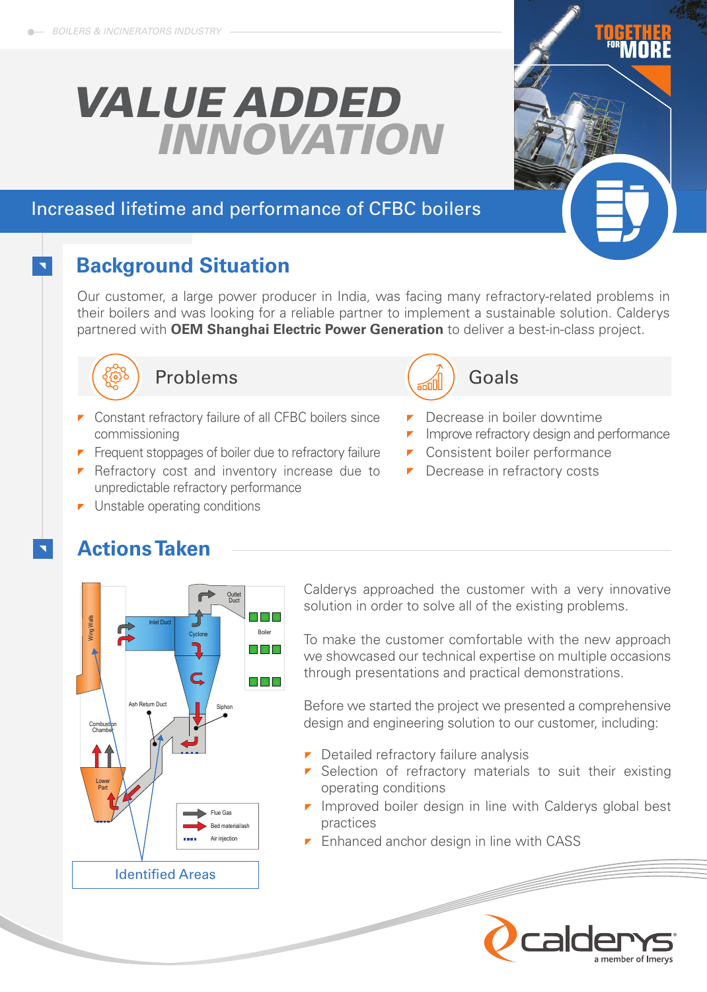# *VALUE ADDED INNOVATION*

## Increased lifetime and performance of CFBC boilers

# **Background Situation**

Our customer, a large power producer in India, was facing many refractory-related problems in their boilers and was looking for a reliable partner to implement a sustainable solution. Calderys partnered with **OEM Shanghai Electric Power Generation** to deliver a best-in-class project.



### Problems

- **Constant refractory failure of all CFBC boilers since** commissioning
- $\blacksquare$  Frequent stoppages of boiler due to refractory failure
- $\blacksquare$  Refractory cost and inventory increase due to unpredictable refractory performance
- **Unstable operating conditions**

# **Actions Taken**



Calderys approached the customer with a very innovative solution in order to solve all of the existing problems.

To make the customer comfortable with the new approach we showcased our technical expertise on multiple occasions through presentations and practical demonstrations.

Before we started the project we presented a comprehensive design and engineering solution to our customer, including:

- $\triangleright$  Detailed refractory failure analysis
- $\triangleright$  Selection of refractory materials to suit their existing operating conditions
- $\blacksquare$  Improved boiler design in line with Calderys global best practices
- $\blacksquare$  Enhanced anchor design in line with CASS





- **P** Decrease in boiler downtime
- $\blacksquare$  Improve refractory design and performance
- **Consistent boiler performance**
- **Decrease in refractory costs**